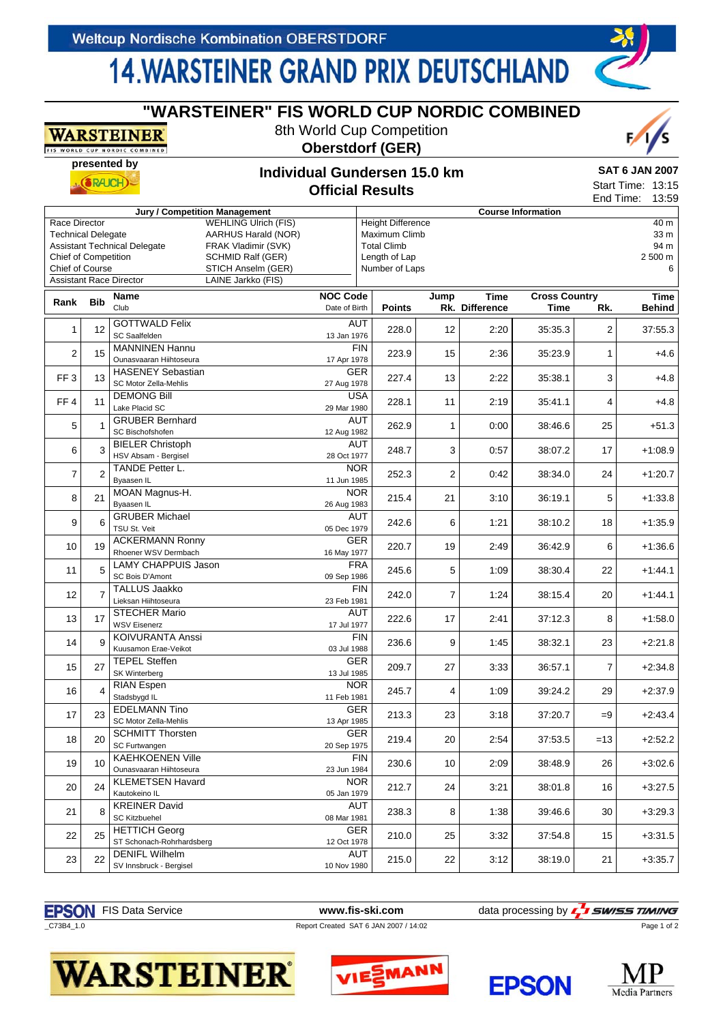**WARSTEINER** 

## **14. WARSTEINER GRAND PRIX DEUTSCHLAND**

**"WARSTEINER" FIS WORLD CUP NORDIC COMBINED** 8th World Cup Competition

|                                                                    |                | <u>NAAND LEELINEA</u><br><b>FIS WORLD CUP NORDIC COMBINED</b> |                                                                                                | <b>Oberstdorf (GER)</b>          |                                                                                  |                |                        |                              |                | $\gamma$                        |
|--------------------------------------------------------------------|----------------|---------------------------------------------------------------|------------------------------------------------------------------------------------------------|----------------------------------|----------------------------------------------------------------------------------|----------------|------------------------|------------------------------|----------------|---------------------------------|
| presented by                                                       |                |                                                               |                                                                                                | Individual Gundersen 15.0 km     |                                                                                  |                |                        |                              |                |                                 |
|                                                                    | <b>SRAJCH</b>  |                                                               |                                                                                                | <b>Official Results</b>          |                                                                                  |                |                        |                              |                |                                 |
|                                                                    |                |                                                               | <b>Jury / Competition Management</b>                                                           |                                  |                                                                                  |                |                        | <b>Course Information</b>    |                | End Time:<br>13:59              |
| Race Director<br><b>Technical Delegate</b><br>Chief of Competition |                | <b>Assistant Technical Delegate</b>                           | <b>WEHLING Ulrich (FIS)</b><br>AARHUS Harald (NOR)<br>FRAK Vladimir (SVK)<br>SCHMID Ralf (GER) |                                  | <b>Height Difference</b><br>Maximum Climb<br><b>Total Climb</b><br>Length of Lap |                |                        |                              |                | 40 m<br>33 m<br>94 m<br>2 500 m |
| Chief of Course                                                    |                |                                                               | STICH Anselm (GER)                                                                             |                                  | Number of Laps                                                                   |                |                        |                              |                | 6                               |
|                                                                    |                | <b>Assistant Race Director</b>                                | LAINE Jarkko (FIS)                                                                             |                                  |                                                                                  |                |                        |                              |                |                                 |
| Rank                                                               | <b>Bib</b>     | <b>Name</b><br>Club                                           |                                                                                                | <b>NOC Code</b><br>Date of Birth | <b>Points</b>                                                                    | Jump           | Time<br>Rk. Difference | <b>Cross Country</b><br>Time | Rk.            | Time<br><b>Behind</b>           |
| 1                                                                  | 12             | <b>GOTTWALD Felix</b><br>SC Saalfelden                        |                                                                                                | <b>AUT</b><br>13 Jan 1976        | 228.0                                                                            | 12             | 2:20                   | 35:35.3                      | 2              | 37:55.3                         |
| 2                                                                  | 15             | <b>MANNINEN Hannu</b><br>Ounasvaaran Hiihtoseura              |                                                                                                | <b>FIN</b><br>17 Apr 1978        | 223.9                                                                            | 15             | 2:36                   | 35:23.9                      | 1              | $+4.6$                          |
| FF <sub>3</sub>                                                    | 13             | <b>HASENEY Sebastian</b><br>SC Motor Zella-Mehlis             |                                                                                                | <b>GER</b><br>27 Aug 1978        | 227.4                                                                            | 13             | 2:22                   | 35:38.1                      | 3              | $+4.8$                          |
| FF4                                                                | 11             | <b>DEMONG Bill</b><br>Lake Placid SC                          |                                                                                                | <b>USA</b><br>29 Mar 1980        | 228.1                                                                            | 11             | 2:19                   | 35:41.1                      | 4              | $+4.8$                          |
| 5                                                                  |                | <b>GRUBER Bernhard</b><br>SC Bischofshofen                    |                                                                                                | <b>AUT</b><br>12 Aug 1982        | 262.9                                                                            | 1              | 0:00                   | 38:46.6                      | 25             | $+51.3$                         |
| 6                                                                  | 3              | <b>BIELER Christoph</b><br>HSV Absam - Bergisel               |                                                                                                | <b>AUT</b><br>28 Oct 1977        | 248.7                                                                            | 3              | 0:57                   | 38:07.2                      | 17             | $+1:08.9$                       |
| 7                                                                  | 2              | TANDE Petter L.<br>Byaasen IL                                 |                                                                                                | <b>NOR</b><br>11 Jun 1985        | 252.3                                                                            | 2              | 0:42                   | 38:34.0                      | 24             | $+1:20.7$                       |
| 8                                                                  | 21             | MOAN Magnus-H.<br>Byaasen IL                                  |                                                                                                | <b>NOR</b><br>26 Aug 1983        | 215.4                                                                            | 21             | 3:10                   | 36:19.1                      | 5              | $+1:33.8$                       |
| 9                                                                  | 6              | <b>GRUBER Michael</b><br>TSU St. Veit                         |                                                                                                | <b>AUT</b><br>05 Dec 1979        | 242.6                                                                            | 6              | 1:21                   | 38:10.2                      | 18             | $+1:35.9$                       |
| 10                                                                 | 19             | <b>ACKERMANN Ronny</b><br>Rhoener WSV Dermbach                |                                                                                                | GER<br>16 May 1977               | 220.7                                                                            | 19             | 2:49                   | 36:42.9                      | 6              | $+1:36.6$                       |
| 11                                                                 | 5              | <b>LAMY CHAPPUIS Jason</b><br>SC Bois D'Amont                 |                                                                                                | <b>FRA</b><br>09 Sep 1986        | 245.6                                                                            | 5              | 1:09                   | 38:30.4                      | 22             | $+1.44.1$                       |
| 12                                                                 | $\overline{7}$ | <b>TALLUS Jaakko</b><br>Lieksan Hiihtoseura                   |                                                                                                | <b>FIN</b><br>23 Feb 1981        | 242.0                                                                            | $\overline{7}$ | 1:24                   | 38:15.4                      | 20             | $+1:44.1$                       |
| 13                                                                 | 17             | <b>STECHER Mario</b><br><b>WSV Eisenerz</b>                   |                                                                                                | AUT<br>17 Jul 1977               | 222.6                                                                            | 17             | 2:41                   | 37:12.3                      | 8              | $+1:58.0$                       |
| 14                                                                 | 9              | <b>KOIVURANTA Anssi</b><br>Kuusamon Erae-Veikot               |                                                                                                | <b>FIN</b><br>03 Jul 1988        | 236.6                                                                            | 9              | 1:45                   | 38:32.1                      | 23             | $+2:21.8$                       |
| 15                                                                 | 27             | <b>TEPEL Steffen</b><br>SK Winterberg                         |                                                                                                | <b>GER</b><br>13 Jul 1985        | 209.7                                                                            | 27             | 3:33                   | 36:57.1                      | $\overline{7}$ | $+2:34.8$                       |
| 16                                                                 | 4              | RIAN Espen<br>Stadsbygd IL                                    |                                                                                                | NOR.<br>11 Feb 1981              | 245.7                                                                            | 4              | 1:09                   | 39:24.2                      | 29             | $+2:37.9$                       |
| 17                                                                 | 23             | <b>EDELMANN Tino</b><br>SC Motor Zella-Mehlis                 |                                                                                                | GER<br>13 Apr 1985               | 213.3                                                                            | 23             | 3:18                   | 37:20.7                      | $=9$           | $+2.43.4$                       |
| 18                                                                 | 20             | <b>SCHMITT Thorsten</b><br>SC Furtwangen                      |                                                                                                | GER<br>20 Sep 1975               | 219.4                                                                            | 20             | 2:54                   | 37:53.5                      | $=13$          | $+2:52.2$                       |
| 19                                                                 | 10             | <b>KAEHKOENEN Ville</b><br>Ounasvaaran Hiihtoseura            |                                                                                                | <b>FIN</b><br>23 Jun 1984        | 230.6                                                                            | 10             | 2:09                   | 38:48.9                      | 26             | $+3.02.6$                       |
| 20                                                                 | 24             | <b>KLEMETSEN Havard</b><br>Kautokeino IL                      |                                                                                                | NOR.<br>05 Jan 1979              | 212.7                                                                            | 24             | 3:21                   | 38:01.8                      | 16             | $+3.27.5$                       |
| 21                                                                 | 8              | <b>KREINER David</b><br><b>SC Kitzbuehel</b>                  |                                                                                                | AUT<br>08 Mar 1981               | 238.3                                                                            | 8              | 1:38                   | 39:46.6                      | 30             | $+3:29.3$                       |
| 22                                                                 | 25             | <b>HETTICH Georg</b><br>ST Schonach-Rohrhardsberg             |                                                                                                | <b>GER</b><br>12 Oct 1978        | 210.0                                                                            | 25             | 3:32                   | 37:54.8                      | 15             | $+3:31.5$                       |
| 23                                                                 | 22             | <b>DENIFL Wilhelm</b><br>SV Innsbruck - Bergisel              |                                                                                                | <b>AUT</b><br>10 Nov 1980        | 215.0                                                                            | 22             | 3:12                   | 38:19.0                      | 21             | $+3:35.7$                       |



**WARSTEINER®** 







Page 1 of 2

 $\sqrt{s}$